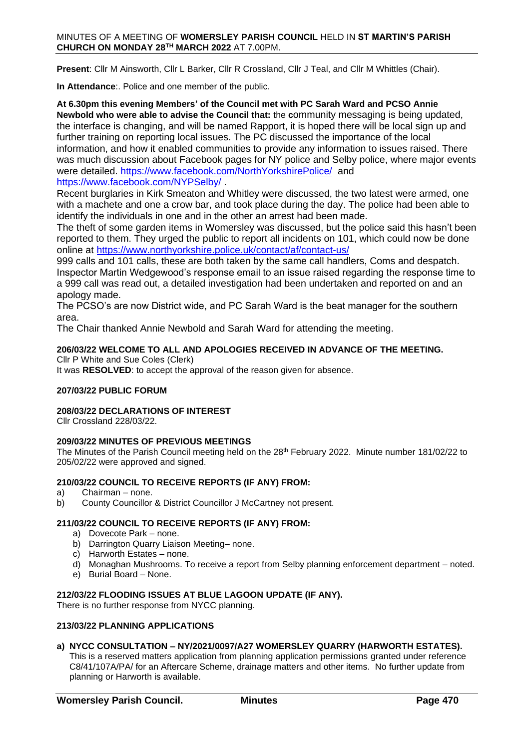#### MINUTES OF A MEETING OF **WOMERSLEY PARISH COUNCIL** HELD IN **ST MARTIN'S PARISH CHURCH ON MONDAY 28TH MARCH 2022** AT 7.00PM.

**Present**: Cllr M Ainsworth, Cllr L Barker, Cllr R Crossland, Cllr J Teal, and Cllr M Whittles (Chair).

**In Attendance**:. Police and one member of the public.

# **At 6.30pm this evening Members' of the Council met with PC Sarah Ward and PCSO Annie**

**Newbold who were able to advise the Council that:** the **c**ommunity messaging is being updated, the interface is changing, and will be named Rapport, it is hoped there will be local sign up and further training on reporting local issues. The PC discussed the importance of the local information, and how it enabled communities to provide any information to issues raised. There was much discussion about Facebook pages for NY police and Selby police, where major events were detailed.<https://www.facebook.com/NorthYorkshirePolice/>and <https://www.facebook.com/NYPSelby/> .

Recent burglaries in Kirk Smeaton and Whitley were discussed, the two latest were armed, one with a machete and one a crow bar, and took place during the day. The police had been able to identify the individuals in one and in the other an arrest had been made.

The theft of some garden items in Womersley was discussed, but the police said this hasn't been reported to them. They urged the public to report all incidents on 101, which could now be done online at<https://www.northyorkshire.police.uk/contact/af/contact-us/>

999 calls and 101 calls, these are both taken by the same call handlers, Coms and despatch. Inspector Martin Wedgewood's response email to an issue raised regarding the response time to a 999 call was read out, a detailed investigation had been undertaken and reported on and an apology made.

The PCSO's are now District wide, and PC Sarah Ward is the beat manager for the southern area.

The Chair thanked Annie Newbold and Sarah Ward for attending the meeting.

#### **206/03/22 WELCOME TO ALL AND APOLOGIES RECEIVED IN ADVANCE OF THE MEETING.** Cllr P White and Sue Coles (Clerk)

It was **RESOLVED**: to accept the approval of the reason given for absence.

### **207/03/22 PUBLIC FORUM**

## **208/03/22 DECLARATIONS OF INTEREST**

Cllr Crossland 228/03/22.

### **209/03/22 MINUTES OF PREVIOUS MEETINGS**

The Minutes of the Parish Council meeting held on the 28<sup>th</sup> February 2022. Minute number 181/02/22 to 205/02/22 were approved and signed.

### **210/03/22 COUNCIL TO RECEIVE REPORTS (IF ANY) FROM:**

- a) Chairman none.
- b) County Councillor & District Councillor J McCartney not present.

### **211/03/22 COUNCIL TO RECEIVE REPORTS (IF ANY) FROM:**

- a) Dovecote Park none.
- b) Darrington Quarry Liaison Meeting– none.
- c) Harworth Estates none.
- d) Monaghan Mushrooms. To receive a report from Selby planning enforcement department noted.
- e) Burial Board None.

### **212/03/22 FLOODING ISSUES AT BLUE LAGOON UPDATE (IF ANY).**

There is no further response from NYCC planning.

#### **213/03/22 PLANNING APPLICATIONS**

**a) NYCC CONSULTATION – NY/2021/0097/A27 WOMERSLEY QUARRY (HARWORTH ESTATES).**

This is a reserved matters application from planning application permissions granted under reference C8/41/107A/PA/ for an Aftercare Scheme, drainage matters and other items. No further update from planning or Harworth is available.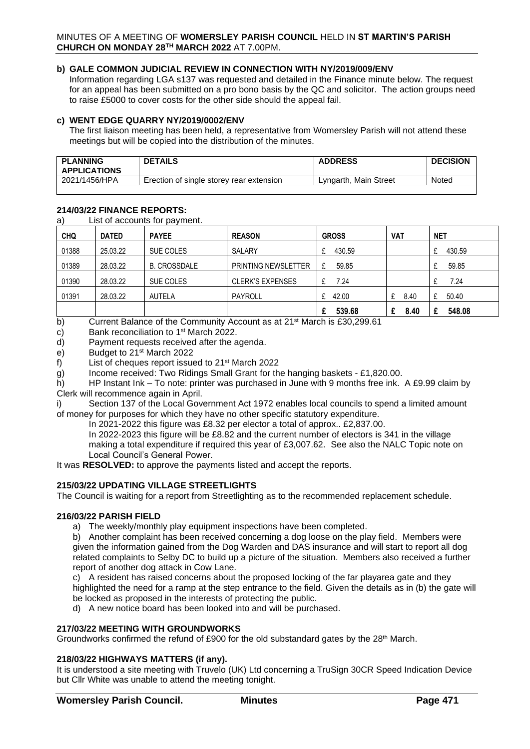### **b) GALE COMMON JUDICIAL REVIEW IN CONNECTION WITH NY/2019/009/ENV**

Information regarding LGA s137 was requested and detailed in the Finance minute below. The request for an appeal has been submitted on a pro bono basis by the QC and solicitor. The action groups need to raise £5000 to cover costs for the other side should the appeal fail.

### **c) WENT EDGE QUARRY NY/2019/0002/ENV**

The first liaison meeting has been held, a representative from Womersley Parish will not attend these meetings but will be copied into the distribution of the minutes.

| <b>APPLICATIONS</b> | <b>DETAILS</b>                           | <b>ADDRESS</b>        | <b>DECISION</b> |
|---------------------|------------------------------------------|-----------------------|-----------------|
| 2021/1456/HPA       | Erection of single storey rear extension | Lyngarth. Main Street | Noted           |

### **214/03/22 FINANCE REPORTS:**

a) List of accounts for payment.

| <b>CHQ</b> | <b>DATED</b> | <b>PAYEE</b>        | <b>REASON</b>              | <b>GROSS</b> | VAT  | <b>NET</b> |
|------------|--------------|---------------------|----------------------------|--------------|------|------------|
| 01388      | 25.03.22     | SUE COLES           | SALARY                     | 430.59       |      | 430.59     |
| 01389      | 28.03.22     | <b>B. CROSSDALE</b> | <b>PRINTING NEWSLETTER</b> | 59.85<br>£   |      | 59.85      |
| 01390      | 28.03.22     | SUE COLES           | <b>CLERK'S EXPENSES</b>    | 7.24         |      | 7.24       |
| 01391      | 28.03.22     | <b>AUTELA</b>       | PAYROLL                    | 42.00<br>£   | 8.40 | 50.40<br>£ |
|            |              |                     |                            | 539.68       | 8.40 | 548.08     |

b) Current Balance of the Community Account as at 21<sup>st</sup> March is £30,299.61

c) Bank reconciliation to  $1<sup>st</sup>$  March 2022.

d) Payment requests received after the agenda.

e) Budget to 21st March 2022

f) List of cheques report issued to 21st March 2022

g) Income received: Two Ridings Small Grant for the hanging baskets - £1,820.00.

h) HP Instant Ink – To note: printer was purchased in June with 9 months free ink. A £9.99 claim by Clerk will recommence again in April.

i) Section 137 of the Local Government Act 1972 enables local councils to spend a limited amount of money for purposes for which they have no other specific statutory expenditure.

In 2021-2022 this figure was £8.32 per elector a total of approx.. £2,837.00.

In 2022-2023 this figure will be £8.82 and the current number of electors is 341 in the village making a total expenditure if required this year of £3,007.62. See also the NALC Topic note on Local Council's General Power.

It was **RESOLVED:** to approve the payments listed and accept the reports.

### **215/03/22 UPDATING VILLAGE STREETLIGHTS**

The Council is waiting for a report from Streetlighting as to the recommended replacement schedule.

#### **216/03/22 PARISH FIELD**

a) The weekly/monthly play equipment inspections have been completed.

b) Another complaint has been received concerning a dog loose on the play field. Members were given the information gained from the Dog Warden and DAS insurance and will start to report all dog related complaints to Selby DC to build up a picture of the situation. Members also received a further report of another dog attack in Cow Lane.

c) A resident has raised concerns about the proposed locking of the far playarea gate and they highlighted the need for a ramp at the step entrance to the field. Given the details as in (b) the gate will be locked as proposed in the interests of protecting the public.

d) A new notice board has been looked into and will be purchased.

### **217/03/22 MEETING WITH GROUNDWORKS**

Groundworks confirmed the refund of £900 for the old substandard gates by the 28<sup>th</sup> March.

#### **218/03/22 HIGHWAYS MATTERS (if any).**

It is understood a site meeting with Truvelo (UK) Ltd concerning a TruSign 30CR Speed Indication Device but Cllr White was unable to attend the meeting tonight.